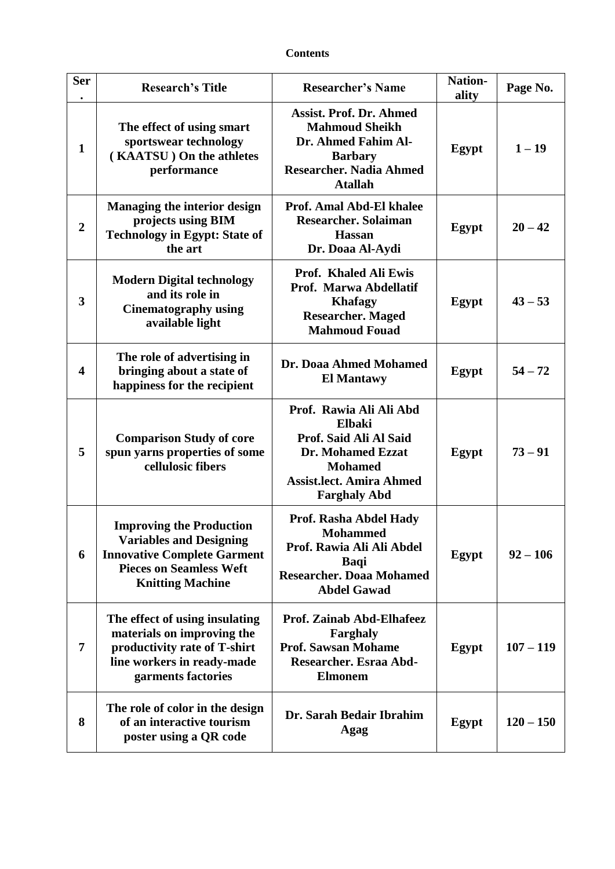## **Contents**

| <b>Ser</b>       | <b>Research's Title</b>                                                                                                                                              | <b>Researcher's Name</b>                                                                                                                                            | Nation-<br>ality | Page No.    |
|------------------|----------------------------------------------------------------------------------------------------------------------------------------------------------------------|---------------------------------------------------------------------------------------------------------------------------------------------------------------------|------------------|-------------|
| $\mathbf{1}$     | The effect of using smart<br>sportswear technology<br>(KAATSU) On the athletes<br>performance                                                                        | <b>Assist. Prof. Dr. Ahmed</b><br><b>Mahmoud Sheikh</b><br>Dr. Ahmed Fahim Al-<br><b>Barbary</b><br><b>Researcher. Nadia Ahmed</b><br><b>Atallah</b>                | Egypt            | $1 - 19$    |
| $\boldsymbol{2}$ | <b>Managing the interior design</b><br>projects using BIM<br><b>Technology in Egypt: State of</b><br>the art                                                         | <b>Prof. Amal Abd-El khalee</b><br><b>Researcher. Solaiman</b><br><b>Hassan</b><br>Dr. Doaa Al-Aydi                                                                 | Egypt            | $20 - 42$   |
| 3                | <b>Modern Digital technology</b><br>and its role in<br><b>Cinematography using</b><br>available light                                                                | Prof. Khaled Ali Ewis<br>Prof. Marwa Abdellatif<br><b>Khafagy</b><br><b>Researcher. Maged</b><br><b>Mahmoud Fouad</b>                                               | Egypt            | $43 - 53$   |
| 4                | The role of advertising in<br>bringing about a state of<br>happiness for the recipient                                                                               | Dr. Doaa Ahmed Mohamed<br><b>El Mantawy</b>                                                                                                                         | Egypt            | $54 - 72$   |
| 5                | <b>Comparison Study of core</b><br>spun yarns properties of some<br>cellulosic fibers                                                                                | Prof. Rawia Ali Ali Abd<br><b>Elbaki</b><br>Prof. Said Ali Al Said<br>Dr. Mohamed Ezzat<br><b>Mohamed</b><br><b>Assist.lect. Amira Ahmed</b><br><b>Farghaly Abd</b> | Egypt            | $73 - 91$   |
| 6                | <b>Improving the Production</b><br><b>Variables and Designing</b><br><b>Innovative Complete Garment</b><br><b>Pieces on Seamless Weft</b><br><b>Knitting Machine</b> | Prof. Rasha Abdel Hady<br><b>Mohammed</b><br>Prof. Rawia Ali Ali Abdel<br><b>Baqi</b><br><b>Researcher. Doaa Mohamed</b><br><b>Abdel Gawad</b>                      | Egypt            | $92 - 106$  |
| 7                | The effect of using insulating<br>materials on improving the<br>productivity rate of T-shirt<br>line workers in ready-made<br>garments factories                     | Prof. Zainab Abd-Elhafeez<br>Farghaly<br><b>Prof. Sawsan Mohame</b><br>Researcher. Esraa Abd-<br><b>Elmonem</b>                                                     | Egypt            | $107 - 119$ |
| 8                | The role of color in the design<br>of an interactive tourism<br>poster using a QR code                                                                               | Dr. Sarah Bedair Ibrahim<br>Agag                                                                                                                                    | Egypt            | $120 - 150$ |